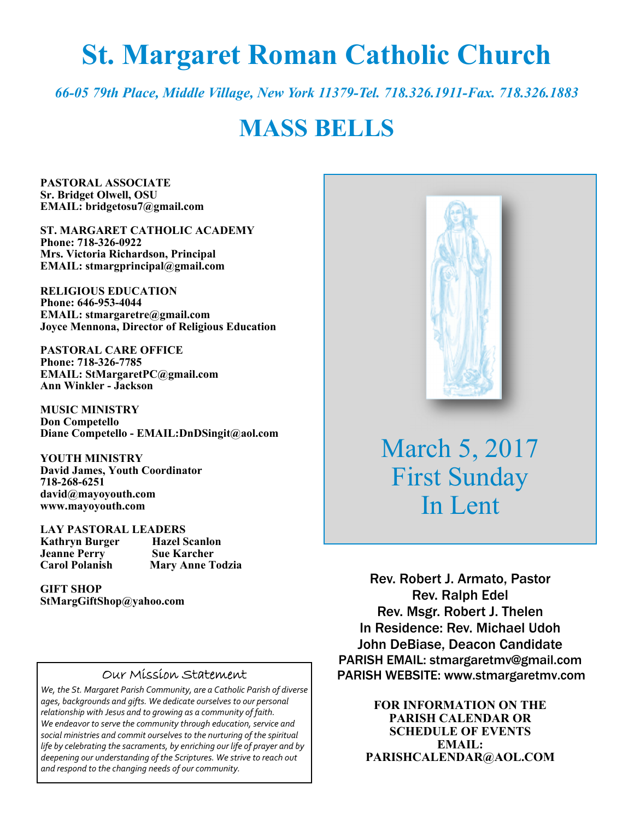# **St. Margaret Roman Catholic Church**

*66-05 79th Place, Middle Village, New York 11379-Tel. 718.326.1911-Fax. 718.326.1883* 

## **MASS BELLS**

**PASTORAL ASSOCIATE Sr. Bridget Olwell, OSU EMAIL: bridgetosu7@gmail.com** 

**ST. MARGARET CATHOLIC ACADEMY Phone: 718-326-0922 Mrs. Victoria Richardson, Principal EMAIL: stmargprincipal@gmail.com** 

**RELIGIOUS EDUCATION Phone: 646-953-4044 EMAIL: stmargaretre@gmail.com Joyce Mennona, Director of Religious Education** 

**PASTORAL CARE OFFICE Phone: 718-326-7785 EMAIL: StMargaretPC@gmail.com Ann Winkler - Jackson** 

**MUSIC MINISTRY Don Competello Diane Competello - EMAIL:DnDSingit@aol.com** 

**YOUTH MINISTRY David James, Youth Coordinator 718-268-6251 david@mayoyouth.com www.mayoyouth.com** 

**LAY PASTORAL LEADERS Kathryn Burger Hazel Scanlo**<br> **Jeanne Perry Sue Karcher Jeanne Perry Carol Polanish Mary Anne Todzia** 

**GIFT SHOP StMargGiftShop@yahoo.com**

#### Our Mission Statement

*We, the St. Margaret Parish Community, are a Catholic Parish of diverse ages, backgrounds and gifts. We dedicate ourselves to our personal relationship with Jesus and to growing as a community of faith. We endeavor to serve the community through education, service and social ministries and commit ourselves to the nurturing of the spiritual life by celebrating the sacraments, by enriching our life of prayer and by deepening our understanding of the Scriptures. We strive to reach out and respond to the changing needs of our community.*



March 5, 2017 First Sunday In Lent

Rev. Robert J. Armato, Pastor Rev. Ralph Edel Rev. Msgr. Robert J. Thelen In Residence: Rev. Michael Udoh John DeBiase, Deacon Candidate PARISH EMAIL: stmargaretmv@gmail.com PARISH WEBSITE: www.stmargaretmv.com

> **FOR INFORMATION ON THE PARISH CALENDAR OR SCHEDULE OF EVENTS EMAIL: PARISHCALENDAR@AOL.COM**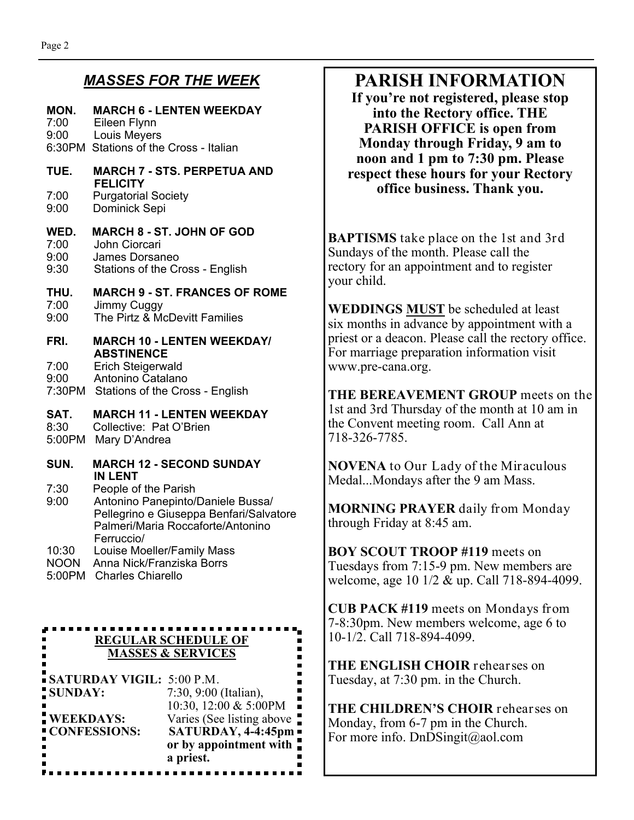### *MASSES FOR THE WEEK*

## **MON. MARCH 6 - LENTEN WEEKDAY**

7:00 Eileen Flynn 9:00 Louis Meyers 6:30PM Stations of the Cross - Italian

#### **TUE. MARCH 7 - STS. PERPETUA AND FELICITY**<br><sup>7:00</sup> Purgatoria Purgatorial Society

9:00 Dominick Sepi

## **WED. MARCH 8 - ST. JOHN OF GOD**

7:00 John Ciorcari 9:00 James Dorsaneo

9:30 Stations of the Cross - English

#### **THU. MARCH 9 - ST. FRANCES OF ROME**  Jimmy Cuggy

9:00 The Pirtz & McDevitt Families

#### **FRI. MARCH 10 - LENTEN WEEKDAY/ ABSTINENCE**

7:00 Erich Steigerwald

- 9:00 Antonino Catalano
- 7:30PM Stations of the Cross English

#### **SAT. MARCH 11 - LENTEN WEEKDAY**

8:30 Collective: Pat O'Brien

- 5:00PM Mary D'Andrea
- **SUN. MARCH 12 SECOND SUNDAY IN LENT**
- 7:30 People of the Parish
- 9:00 Antonino Panepinto/Daniele Bussa/ Pellegrino e Giuseppa Benfari/Salvatore Palmeri/Maria Roccaforte/Antonino Ferruccio/
- 10:30 Louise Moeller/Family Mass
- NOON Anna Nick/Franziska Borrs
- 5:00PM Charles Chiarello

## **REGULAR SCHEDULE OF MASSES & SERVICES**

| <b>SATURDAY VIGIL: 5:00 P.M.</b> |                           |
|----------------------------------|---------------------------|
| <b>SUNDAY:</b>                   | 7:30, 9:00 (Italian),     |
|                                  | 10:30, 12:00 & 5:00PM     |
| <b>WEEKDAYS:</b>                 | Varies (See listing above |
| <b>CONFESSIONS:</b>              | SATURDAY, 4-4:45pm        |
|                                  | or by appointment with    |
|                                  | a priest.                 |

## **PARISH INFORMATION**

**If you're not registered, please stop into the Rectory office. THE PARISH OFFICE is open from Monday through Friday, 9 am to noon and 1 pm to 7:30 pm. Please respect these hours for your Rectory office business. Thank you.** 

**BAPTISMS** take place on the 1st and 3rd Sundays of the month. Please call the rectory for an appointment and to register your child.

**WEDDINGS MUST** be scheduled at least six months in advance by appointment with a priest or a deacon. Please call the rectory office. For marriage preparation information visit www.pre-cana.org.

**THE BEREAVEMENT GROUP** meets on the 1st and 3rd Thursday of the month at 10 am in the Convent meeting room. Call Ann at 718-326-7785.

**NOVENA** to Our Lady of the Miraculous Medal...Mondays after the 9 am Mass.

**MORNING PRAYER** daily from Monday through Friday at 8:45 am.

**BOY SCOUT TROOP #119** meets on Tuesdays from 7:15-9 pm. New members are welcome, age 10 1/2 & up. Call 718-894-4099.

**CUB PACK #119** meets on Mondays from 7-8:30pm. New members welcome, age 6 to 10-1/2. Call 718-894-4099.

**THE ENGLISH CHOIR** rehearses on Tuesday, at 7:30 pm. in the Church.

**THE CHILDREN'S CHOIR** rehearses on Monday, from 6-7 pm in the Church. For more info. DnDSingit@aol.com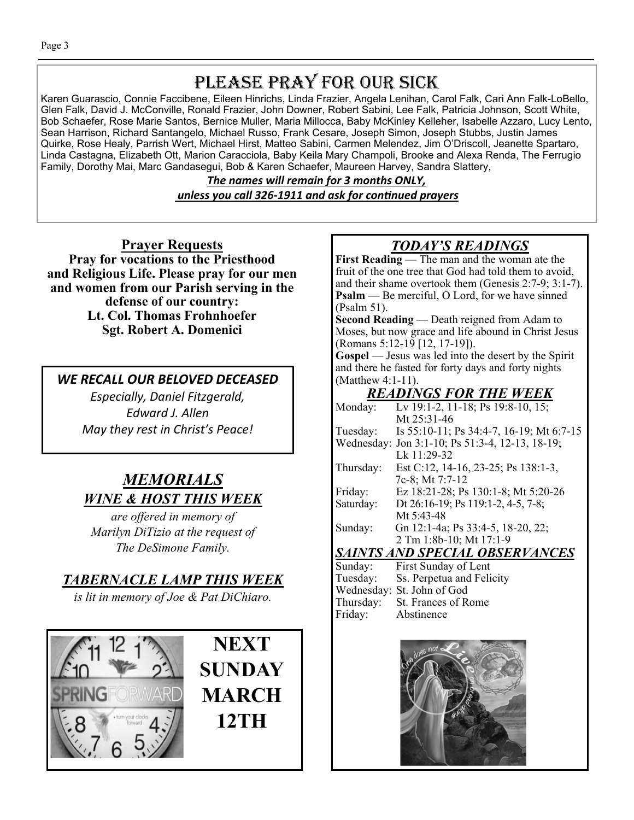## PLEASE PRAY FOR OUR SICK

Karen Guarascio, Connie Faccibene, Eileen Hinrichs, Linda Frazier, Angela Lenihan, Carol Falk, Cari Ann Falk-LoBello, Glen Falk, David J. McConville, Ronald Frazier, John Downer, Robert Sabini, Lee Falk, Patricia Johnson, Scott White, Bob Schaefer, Rose Marie Santos, Bernice Muller, Maria Millocca, Baby McKinley Kelleher, Isabelle Azzaro, Lucy Lento, Sean Harrison, Richard Santangelo, Michael Russo, Frank Cesare, Joseph Simon, Joseph Stubbs, Justin James Quirke, Rose Healy, Parrish Wert, Michael Hirst, Matteo Sabini, Carmen Melendez, Jim O'Driscoll, Jeanette Spartaro, Linda Castagna, Elizabeth Ott, Marion Caracciola, Baby Keila Mary Champoli, Brooke and Alexa Renda, The Ferrugio Family, Dorothy Mai, Marc Gandasegui, Bob & Karen Schaefer, Maureen Harvey, Sandra Slattery,

> *The names will remain for 3 months ONLY, unless you call 326-1911 and ask for conƟnued prayers*

**Prayer Requests Pray for vocations to the Priesthood and Religious Life. Please pray for our men and women from our Parish serving in the defense of our country: Lt. Col. Thomas Frohnhoefer Sgt. Robert A. Domenici** 

*WE RECALL OUR BELOVED DECEASED* 

*Especially, Daniel Fitzgerald, Edward J. Allen May they rest in Christ's Peace!* 

## *MEMORIALS WINE & HOST THIS WEEK*

*are offered in memory of Marilyn DiTizio at the request of The DeSimone Family.* 

## *TABERNACLE LAMP THIS WEEK*

*is lit in memory of Joe & Pat DiChiaro.* 



## *TODAY'S READINGS*

**First Reading** — The man and the woman ate the fruit of the one tree that God had told them to avoid, and their shame overtook them (Genesis 2:7-9; 3:1-7). **Psalm** — Be merciful, O Lord, for we have sinned (Psalm 51).

**Second Reading** — Death reigned from Adam to Moses, but now grace and life abound in Christ Jesus (Romans 5:12-19 [12, 17-19]).

**Gospel** — Jesus was led into the desert by the Spirit and there he fasted for forty days and forty nights (Matthew 4:1-11).

## *READINGS FOR THE WEEK*

| Monday:                               | Lv 19:1-2, 11-18; Ps 19:8-10, 15;               |  |
|---------------------------------------|-------------------------------------------------|--|
|                                       | Mt 25:31-46                                     |  |
| Tuesday:                              | Is 55:10-11; Ps 34:4-7, 16-19; Mt 6:7-15        |  |
|                                       | Wednesday: Jon 3:1-10; Ps 51:3-4, 12-13, 18-19; |  |
|                                       | Lk 11:29-32                                     |  |
| Thursday:                             | Est C:12, 14-16, 23-25; Ps 138:1-3,             |  |
|                                       | 7c-8; Mt 7:7-12                                 |  |
| Friday:                               | Ez 18:21-28; Ps 130:1-8; Mt 5:20-26             |  |
| Saturday:                             | Dt 26:16-19; Ps 119:1-2, 4-5, 7-8;              |  |
|                                       | Mt 5:43-48                                      |  |
| Sunday:                               | Gn 12:1-4a; Ps 33:4-5, 18-20, 22;               |  |
|                                       | 2 Tm 1:8b-10; Mt 17:1-9                         |  |
| <b>SAINTS AND SPECIAL OBSERVANCES</b> |                                                 |  |
| Sunday:                               | First Sunday of Lent                            |  |
| Tuesday:                              | Ss. Perpetua and Felicity                       |  |

|         | Tuesday: Ss. Perpetua and Fell |
|---------|--------------------------------|
|         | Wednesday: St. John of God     |
|         | Thursday: St. Frances of Rome  |
| Friday: | Abstinence                     |
|         |                                |

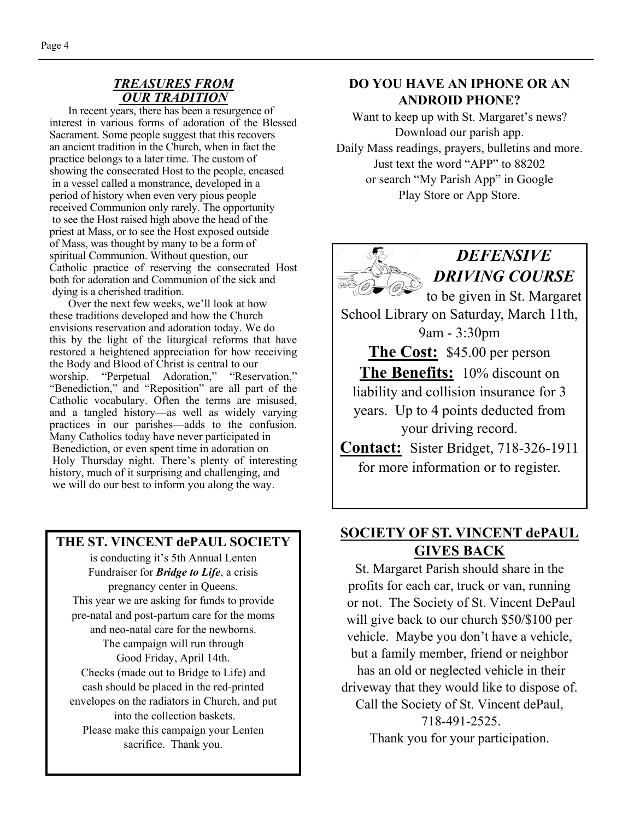#### *TREASURES FROM OUR TRADITION*

 In recent years, there has been a resurgence of interest in various forms of adoration of the Blessed Sacrament. Some people suggest that this recovers an ancient tradition in the Church, when in fact the practice belongs to a later time. The custom of showing the consecrated Host to the people, encased in a vessel called a monstrance, developed in a period of history when even very pious people received Communion only rarely. The opportunity to see the Host raised high above the head of the priest at Mass, or to see the Host exposed outside of Mass, was thought by many to be a form of spiritual Communion. Without question, our Catholic practice of reserving the consecrated Host both for adoration and Communion of the sick and dying is a cherished tradition.

 Over the next few weeks, we'll look at how these traditions developed and how the Church envisions reservation and adoration today. We do this by the light of the liturgical reforms that have restored a heightened appreciation for how receiving the Body and Blood of Christ is central to our worship. "Perpetual Adoration," "Reservation," "Benediction," and "Reposition" are all part of the Catholic vocabulary. Often the terms are misused, and a tangled history—as well as widely varying practices in our parishes—adds to the confusion. Many Catholics today have never participated in Benediction, or even spent time in adoration on Holy Thursday night. There's plenty of interesting history, much of it surprising and challenging, and we will do our best to inform you along the way.

#### **THE ST. VINCENT dePAUL SOCIETY**

is conducting it's 5th Annual Lenten Fundraiser for *Bridge to Life*, a crisis pregnancy center in Queens. This year we are asking for funds to provide pre-natal and post-partum care for the moms and neo-natal care for the newborns. The campaign will run through Good Friday, April 14th. Checks (made out to Bridge to Life) and cash should be placed in the red-printed envelopes on the radiators in Church, and put into the collection baskets. Please make this campaign your Lenten sacrifice. Thank you.

#### **DO YOU HAVE AN IPHONE OR AN ANDROID PHONE?**

Want to keep up with St. Margaret's news? Download our parish app. Daily Mass readings, prayers, bulletins and more. Just text the word "APP" to 88202 or search "My Parish App" in Google Play Store or App Store.



### **SOCIETY OF ST. VINCENT dePAUL GIVES BACK**

St. Margaret Parish should share in the profits for each car, truck or van, running or not. The Society of St. Vincent DePaul will give back to our church \$50/\$100 per vehicle. Maybe you don't have a vehicle, but a family member, friend or neighbor has an old or neglected vehicle in their driveway that they would like to dispose of. Call the Society of St. Vincent dePaul, 718-491-2525. Thank you for your participation.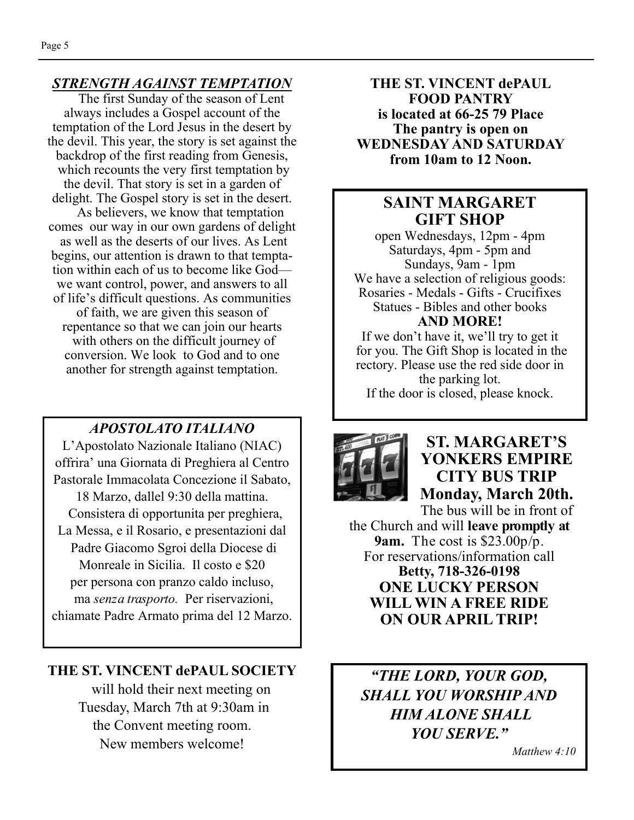#### *STRENGTH AGAINST TEMPTATION*

The first Sunday of the season of Lent always includes a Gospel account of the temptation of the Lord Jesus in the desert by the devil. This year, the story is set against the backdrop of the first reading from Genesis, which recounts the very first temptation by the devil. That story is set in a garden of delight. The Gospel story is set in the desert. As believers, we know that temptation comes our way in our own gardens of delight as well as the deserts of our lives. As Lent begins, our attention is drawn to that temptation within each of us to become like God we want control, power, and answers to all of life's difficult questions. As communities of faith, we are given this season of repentance so that we can join our hearts with others on the difficult journey of conversion. We look to God and to one another for strength against temptation.

#### *APOSTOLATO ITALIANO*

L'Apostolato Nazionale Italiano (NIAC) offrira' una Giornata di Preghiera al Centro Pastorale Immacolata Concezione il Sabato, 18 Marzo, dallel 9:30 della mattina. Consistera di opportunita per preghiera, La Messa, e il Rosario, e presentazioni dal Padre Giacomo Sgroi della Diocese di Monreale in Sicilia. Il costo e \$20 per persona con pranzo caldo incluso, ma *senza trasporto.* Per riservazioni, chiamate Padre Armato prima del 12 Marzo.

#### **THE ST. VINCENT dePAUL SOCIETY**

 will hold their next meeting on Tuesday, March 7th at 9:30am in the Convent meeting room. New members welcome!

**THE ST. VINCENT dePAUL FOOD PANTRY is located at 66-25 79 Place The pantry is open on WEDNESDAY AND SATURDAY from 10am to 12 Noon.** 

### **SAINT MARGARET GIFT SHOP**

open Wednesdays, 12pm - 4pm Saturdays, 4pm - 5pm and Sundays, 9am - 1pm We have a selection of religious goods: Rosaries - Medals - Gifts - Crucifixes Statues - Bibles and other books **AND MORE!** 

If we don't have it, we'll try to get it for you. The Gift Shop is located in the rectory. Please use the red side door in the parking lot. If the door is closed, please knock.



**ST. MARGARET'S YONKERS EMPIRE CITY BUS TRIP Monday, March 20th.** 

The bus will be in front of the Church and will **leave promptly at 9am.** The cost is \$23.00p/p. For reservations/information call **Betty, 718-326-0198 ONE LUCKY PERSON WILL WIN A FREE RIDE ON OUR APRIL TRIP!** 

*"THE LORD, YOUR GOD, SHALL YOU WORSHIP AND HIM ALONE SHALL YOU SERVE."* 

 *Matthew 4:10*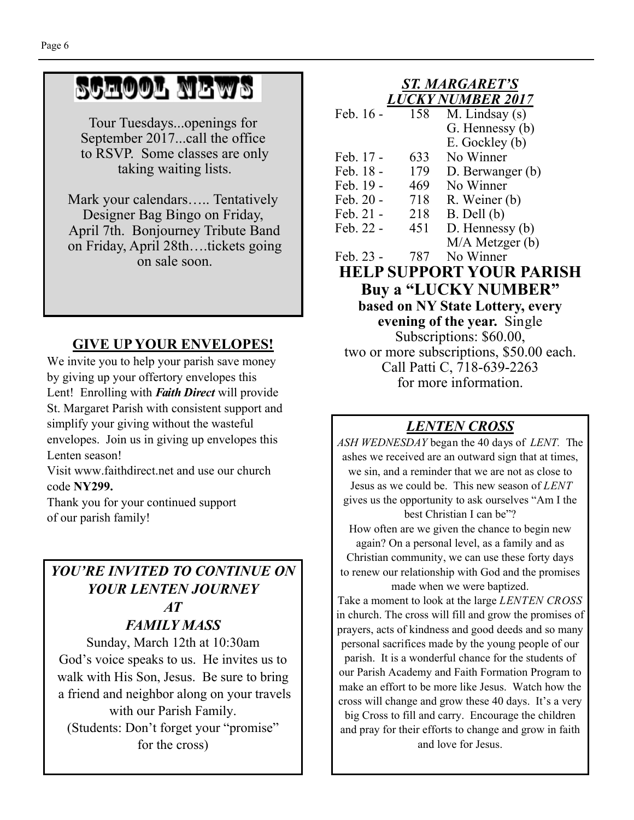# SCHOOL NEWS

Tour Tuesdays...openings for September 2017...call the office to RSVP. Some classes are only taking waiting lists.

Mark your calendars….. Tentatively Designer Bag Bingo on Friday, April 7th. Bonjourney Tribute Band on Friday, April 28th….tickets going on sale soon.

## **GIVE UP YOUR ENVELOPES!**

We invite you to help your parish save money by giving up your offertory envelopes this Lent! Enrolling with *Faith Direct* will provide St. Margaret Parish with consistent support and simplify your giving without the wasteful envelopes. Join us in giving up envelopes this Lenten season!

Visit www.faithdirect.net and use our church code **NY299.** 

Thank you for your continued support of our parish family!

### *YOU'RE INVITED TO CONTINUE ON YOUR LENTEN JOURNEY AT FAMILY MASS*

Sunday, March 12th at 10:30am God's voice speaks to us. He invites us to walk with His Son, Jesus. Be sure to bring a friend and neighbor along on your travels with our Parish Family. (Students: Don't forget your "promise" for the cross)

#### *ST. MARGARET'S LUCKY NUMBER 2017*

| Feb. 16 - | 158 | M. Lindsay (s)      |
|-----------|-----|---------------------|
|           |     | G. Hennessy (b)     |
|           |     | E. Gockley (b)      |
| Feb. 17 - | 633 | No Winner           |
| Feb. 18 - | 179 | D. Berwanger (b)    |
| Feb. 19 - | 469 | No Winner           |
| Feb. 20 - | 718 | R. Weiner (b)       |
| Feb. 21 - | 218 | $B.$ Dell $(b)$     |
| Feb. 22 - | 451 | $D.$ Hennessy $(b)$ |
|           |     | $M/A$ Metzger $(b)$ |
| Feb. 23 - | 787 | No Winner           |

**HELP SUPPORT YOUR PARISH Buy a "LUCKY NUMBER" based on NY State Lottery, every evening of the year.** Single Subscriptions: \$60.00, two or more subscriptions, \$50.00 each. Call Patti C, 718-639-2263 for more information.

## *LENTEN CROSS*

*ASH WEDNESDAY* began the 40 days of *LENT.* The ashes we received are an outward sign that at times, we sin, and a reminder that we are not as close to Jesus as we could be. This new season of *LENT*  gives us the opportunity to ask ourselves "Am I the best Christian I can be"? How often are we given the chance to begin new again? On a personal level, as a family and as Christian community, we can use these forty days to renew our relationship with God and the promises made when we were baptized. Take a moment to look at the large *LENTEN CROSS*  in church. The cross will fill and grow the promises of prayers, acts of kindness and good deeds and so many personal sacrifices made by the young people of our parish. It is a wonderful chance for the students of our Parish Academy and Faith Formation Program to make an effort to be more like Jesus. Watch how the cross will change and grow these 40 days. It's a very big Cross to fill and carry. Encourage the children and pray for their efforts to change and grow in faith and love for Jesus.